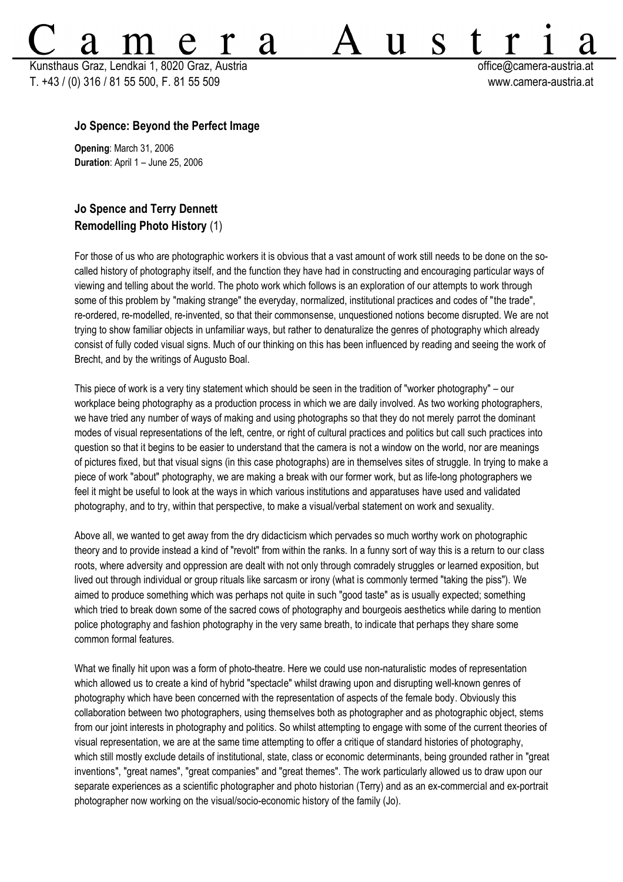Kunsthaus Graz, Lendkai 1, 8020 Graz, Austria **bereikairen austria eta austria eta austria** eta austria eta austria T. +43 / (0) 316 / 81 55 500, F. 81 55 509 www.camera-austria.at

S

11

## **Jo Spence: Beyond the Perfect Image**

**Opening**: March 31, 2006 **Duration**: April 1 – June 25, 2006

## **Jo Spence and Terry Dennett Remodelling Photo History** (1)

For those of us who are photographic workers it is obvious that a vast amount of work still needs to be done on the socalled history of photography itself, and the function they have had in constructing and encouraging particular ways of viewing and telling about the world. The photo work which follows is an exploration of our attempts to work through some of this problem by "making strange" the everyday, normalized, institutional practices and codes of "the trade", re-ordered, re-modelled, re-invented, so that their commonsense, unquestioned notions become disrupted. We are not trying to show familiar objects in unfamiliar ways, but rather to denaturalize the genres of photography which already consist of fully coded visual signs. Much of our thinking on this has been influenced by reading and seeing the work of Brecht, and by the writings of Augusto Boal.

2d

This piece of work is a very tiny statement which should be seen in the tradition of "worker photography" – our workplace being photography as a production process in which we are daily involved. As two working photographers, we have tried any number of ways of making and using photographs so that they do not merely parrot the dominant modes of visual representations of the left, centre, or right of cultural practices and politics but call such practices into question so that it begins to be easier to understand that the camera is not a window on the world, nor are meanings of pictures fixed, but that visual signs (in this case photographs) are in themselves sites of struggle. In trying to make a piece of work "about" photography, we are making a break with our former work, but as life-long photographers we feel it might be useful to look at the ways in which various institutions and apparatuses have used and validated photography, and to try, within that perspective, to make a visual/verbal statement on work and sexuality.

Above all, we wanted to get away from the dry didacticism which pervades so much worthy work on photographic theory and to provide instead a kind of "revolt" from within the ranks. In a funny sort of way this is a return to our class roots, where adversity and oppression are dealt with not only through comradely struggles or learned exposition, but lived out through individual or group rituals like sarcasm or irony (what is commonly termed "taking the piss"). We aimed to produce something which was perhaps not quite in such "good taste" as is usually expected; something which tried to break down some of the sacred cows of photography and bourgeois aesthetics while daring to mention police photography and fashion photography in the very same breath, to indicate that perhaps they share some common formal features.

What we finally hit upon was a form of photo-theatre. Here we could use non-naturalistic modes of representation which allowed us to create a kind of hybrid "spectacle" whilst drawing upon and disrupting well-known genres of photography which have been concerned with the representation of aspects of the female body. Obviously this collaboration between two photographers, using themselves both as photographer and as photographic object, stems from our joint interests in photography and politics. So whilst attempting to engage with some of the current theories of visual representation, we are at the same time attempting to offer a critique of standard histories of photography, which still mostly exclude details of institutional, state, class or economic determinants, being grounded rather in "great inventions", "great names", "great companies" and "great themes". The work particularly allowed us to draw upon our separate experiences as a scientific photographer and photo historian (Terry) and as an ex-commercial and ex-portrait photographer now working on the visual/socio-economic history of the family (Jo).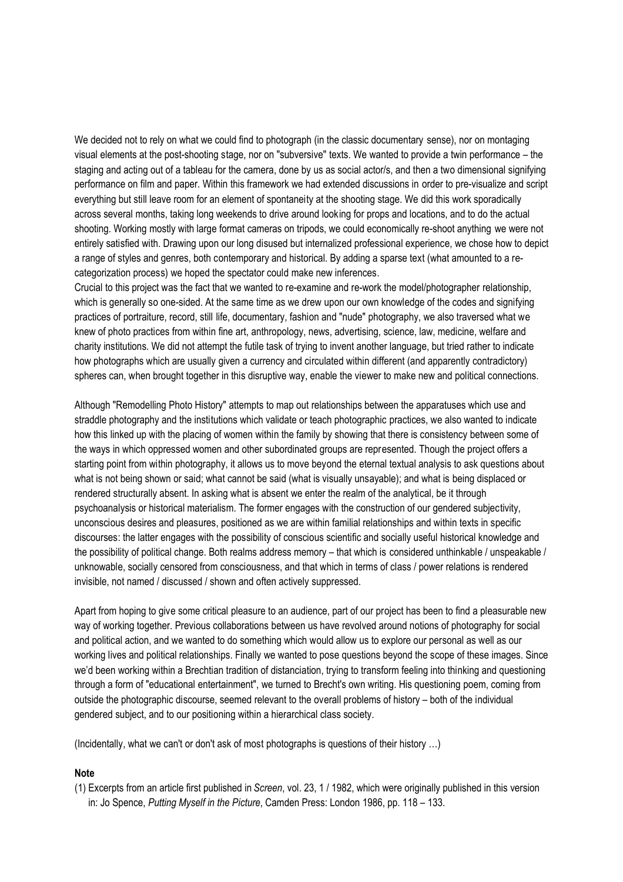We decided not to rely on what we could find to photograph (in the classic documentary sense), nor on montaging visual elements at the post-shooting stage, nor on "subversive" texts. We wanted to provide a twin performance – the staging and acting out of a tableau for the camera, done by us as social actor/s, and then a two dimensional signifying performance on film and paper. Within this framework we had extended discussions in order to pre-visualize and script everything but still leave room for an element of spontaneity at the shooting stage. We did this work sporadically across several months, taking long weekends to drive around looking for props and locations, and to do the actual shooting. Working mostly with large format cameras on tripods, we could economically re-shoot anything we were not entirely satisfied with. Drawing upon our long disused but internalized professional experience, we chose how to depict a range of styles and genres, both contemporary and historical. By adding a sparse text (what amounted to a recategorization process) we hoped the spectator could make new inferences.

Crucial to this project was the fact that we wanted to re-examine and re-work the model/photographer relationship, which is generally so one-sided. At the same time as we drew upon our own knowledge of the codes and signifying practices of portraiture, record, still life, documentary, fashion and "nude" photography, we also traversed what we knew of photo practices from within fine art, anthropology, news, advertising, science, law, medicine, welfare and charity institutions. We did not attempt the futile task of trying to invent another language, but tried rather to indicate how photographs which are usually given a currency and circulated within different (and apparently contradictory) spheres can, when brought together in this disruptive way, enable the viewer to make new and political connections.

Although "Remodelling Photo History" attempts to map out relationships between the apparatuses which use and straddle photography and the institutions which validate or teach photographic practices, we also wanted to indicate how this linked up with the placing of women within the family by showing that there is consistency between some of the ways in which oppressed women and other subordinated groups are represented. Though the project offers a starting point from within photography, it allows us to move beyond the eternal textual analysis to ask questions about what is not being shown or said; what cannot be said (what is visually unsayable); and what is being displaced or rendered structurally absent. In asking what is absent we enter the realm of the analytical, be it through psychoanalysis or historical materialism. The former engages with the construction of our gendered subjectivity, unconscious desires and pleasures, positioned as we are within familial relationships and within texts in specific discourses: the latter engages with the possibility of conscious scientific and socially useful historical knowledge and the possibility of political change. Both realms address memory – that which is considered unthinkable / unspeakable / unknowable, socially censored from consciousness, and that which in terms of class / power relations is rendered invisible, not named / discussed / shown and often actively suppressed.

Apart from hoping to give some critical pleasure to an audience, part of our project has been to find a pleasurable new way of working together. Previous collaborations between us have revolved around notions of photography for social and political action, and we wanted to do something which would allow us to explore our personal as well as our working lives and political relationships. Finally we wanted to pose questions beyond the scope of these images. Since we'd been working within a Brechtian tradition of distanciation, trying to transform feeling into thinking and questioning through a form of "educational entertainment", we turned to Brecht's own writing. His questioning poem, coming from outside the photographic discourse, seemed relevant to the overall problems of history – both of the individual gendered subject, and to our positioning within a hierarchical class society.

(Incidentally, what we can't or don't ask of most photographs is questions of their history …)

## **Note**

(1) Excerpts from an article first published in *Screen*, vol. 23, 1 / 1982, which were originally published in this version in: Jo Spence, *Putting Myself in the Picture*, Camden Press: London 1986, pp. 118 – 133.